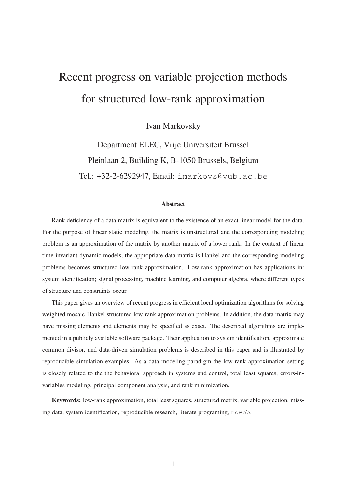# Recent progress on variable projection methods for structured low-rank approximation

Ivan Markovsky

Department ELEC, Vrije Universiteit Brussel Pleinlaan 2, Building K, B-1050 Brussels, Belgium Tel.: +32-2-6292947, Email: imarkovs@vub.ac.be

#### Abstract

Rank deficiency of a data matrix is equivalent to the existence of an exact linear model for the data. For the purpose of linear static modeling, the matrix is unstructured and the corresponding modeling problem is an approximation of the matrix by another matrix of a lower rank. In the context of linear time-invariant dynamic models, the appropriate data matrix is Hankel and the corresponding modeling problems becomes structured low-rank approximation. Low-rank approximation has applications in: system identification; signal processing, machine learning, and computer algebra, where different types of structure and constraints occur.

This paper gives an overview of recent progress in efficient local optimization algorithms for solving weighted mosaic-Hankel structured low-rank approximation problems. In addition, the data matrix may have missing elements and elements may be specified as exact. The described algorithms are implemented in a publicly available software package. Their application to system identification, approximate common divisor, and data-driven simulation problems is described in this paper and is illustrated by reproducible simulation examples. As a data modeling paradigm the low-rank approximation setting is closely related to the the behavioral approach in systems and control, total least squares, errors-invariables modeling, principal component analysis, and rank minimization.

Keywords: low-rank approximation, total least squares, structured matrix, variable projection, missing data, system identification, reproducible research, literate programing, noweb.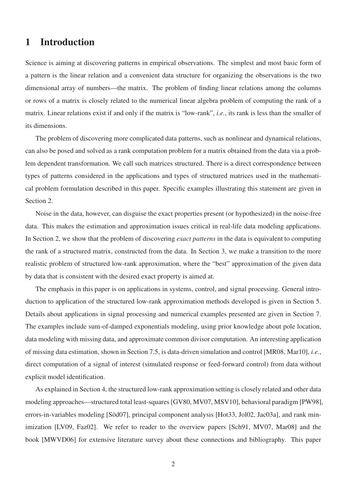### 1 Introduction

Science is aiming at discovering patterns in empirical observations. The simplest and most basic form of a pattern is the linear relation and a convenient data structure for organizing the observations is the two dimensional array of numbers—the matrix. The problem of finding linear relations among the columns or rows of a matrix is closely related to the numerical linear algebra problem of computing the rank of a matrix. Linear relations exist if and only if the matrix is "low-rank", *i.e.*, its rank is less than the smaller of its dimensions.

The problem of discovering more complicated data patterns, such as nonlinear and dynamical relations, can also be posed and solved as a rank computation problem for a matrix obtained from the data via a problem dependent transformation. We call such matrices structured. There is a direct correspondence between types of patterns considered in the applications and types of structured matrices used in the mathematical problem formulation described in this paper. Specific examples illustrating this statement are given in Section 2.

Noise in the data, however, can disguise the exact properties present (or hypothesized) in the noise-free data. This makes the estimation and approximation issues critical in real-life data modeling applications. In Section 2, we show that the problem of discovering *exact patterns* in the data is equivalent to computing the rank of a structured matrix, constructed from the data. In Section 3, we make a transition to the more realistic problem of structured low-rank approximation, where the "best" approximation of the given data by data that is consistent with the desired exact property is aimed at.

The emphasis in this paper is on applications in systems, control, and signal processing. General introduction to application of the structured low-rank approximation methods developed is given in Section 5. Details about applications in signal processing and numerical examples presented are given in Section 7. The examples include sum-of-damped exponentials modeling, using prior knowledge about pole location, data modeling with missing data, and approximate common divisor computation. An interesting application of missing data estimation, shown in Section 7.5, is data-driven simulation and control [MR08, Mar10], *i.e.*, direct computation of a signal of interest (simulated response or feed-forward control) from data without explicit model identification.

As explained in Section 4, the structured low-rank approximation setting is closely related and other data modeling approaches—structured total least-squares [GV80, MV07, MSV10], behavioral paradigm [PW98], errors-in-variables modeling [Söd07], principal component analysis [Hot33, Jol02, Jac03a], and rank minimization [LV09, Faz02]. We refer to reader to the overview papers [Sch91, MV07, Mar08] and the book [MWVD06] for extensive literature survey about these connections and bibliography. This paper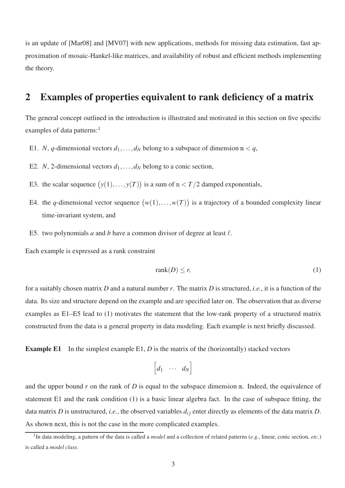is an update of [Mar08] and [MV07] with new applications, methods for missing data estimation, fast approximation of mosaic-Hankel-like matrices, and availability of robust and efficient methods implementing the theory.

### 2 Examples of properties equivalent to rank deficiency of a matrix

The general concept outlined in the introduction is illustrated and motivated in this section on five specific examples of data patterns: $<sup>1</sup>$ </sup>

- E1. *N*, *q*-dimensional vectors  $d_1, \ldots, d_N$  belong to a subspace of dimension  $m < q$ ,
- E2. *N*, 2-dimensional vectors  $d_1, \ldots, d_N$  belong to a conic section,
- E3. the scalar sequence  $(y(1),...,y(T))$  is a sum of  $n < T/2$  damped exponentials,
- E4. the *q*-dimensional vector sequence  $(w(1),...,w(T))$  is a trajectory of a bounded complexity linear time-invariant system, and
- E5. two polynomials *a* and *b* have a common divisor of degree at least  $\ell$ .

Each example is expressed as a rank constraint

$$
rank(D) \le r,\tag{1}
$$

for a suitably chosen matrix *D* and a natural number *r*. The matrix *D* is structured, *i.e.*, it is a function of the data. Its size and structure depend on the example and are specified later on. The observation that as diverse examples as E1–E5 lead to (1) motivates the statement that the low-rank property of a structured matrix constructed from the data is a general property in data modeling. Each example is next briefly discussed.

**Example E1** In the simplest example E1, *D* is the matrix of the (horizontally) stacked vectors

$$
\begin{bmatrix} d_1 & \cdots & d_N \end{bmatrix}
$$

and the upper bound *r* on the rank of *D* is equal to the subspace dimension m. Indeed, the equivalence of statement E1 and the rank condition (1) is a basic linear algebra fact. In the case of subspace fitting, the data matrix *D* is unstructured, *i.e.*, the observed variables  $d_{ij}$  enter directly as elements of the data matrix *D*. As shown next, this is not the case in the more complicated examples.

<sup>1</sup> In data modeling, a pattern of the data is called a *model* and a collection of related patterns (*e.g.*, linear, conic section, *etc*.) is called a *model class*.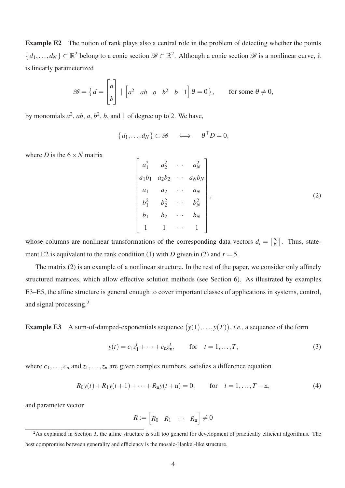Example E2 The notion of rank plays also a central role in the problem of detecting whether the points  $\{d_1,\ldots,d_N\} \subset \mathbb{R}^2$  belong to a conic section  $\mathscr{B} \subset \mathbb{R}^2$ . Although a conic section  $\mathscr{B}$  is a nonlinear curve, it is linearly parameterized

$$
\mathscr{B} = \left\{ d = \begin{bmatrix} a \\ b \end{bmatrix} \middle| \begin{bmatrix} a^2 & ab & a & b^2 & b & 1 \end{bmatrix} \theta = 0 \right\}, \quad \text{for some } \theta \neq 0,
$$

by monomials  $a^2$ ,  $ab$ ,  $a$ ,  $b^2$ ,  $b$ , and 1 of degree up to 2. We have,

$$
\{d_1,\ldots,d_N\}\subset\mathscr{B}\quad\Longleftrightarrow\quad\theta^\top D=0,
$$

where *D* is the  $6 \times N$  matrix

$$
\begin{bmatrix} a_1^2 & a_2^2 & \cdots & a_N^2 \\ a_1b_1 & a_2b_2 & \cdots & a_Nb_N \\ a_1 & a_2 & \cdots & a_N \\ b_1^2 & b_2^2 & \cdots & b_N^2 \\ b_1 & b_2 & \cdots & b_N \\ 1 & 1 & \cdots & 1 \end{bmatrix},
$$
 (2)

whose columns are nonlinear transformations of the corresponding data vectors  $d_i = \begin{bmatrix} a_i \\ b_i \end{bmatrix}$  $\begin{bmatrix} a_i \\ b_i \end{bmatrix}$ . Thus, statement E2 is equivalent to the rank condition (1) with *D* given in (2) and  $r = 5$ .

The matrix (2) is an example of a nonlinear structure. In the rest of the paper, we consider only affinely structured matrices, which allow effective solution methods (see Section 6). As illustrated by examples E3–E5, the affine structure is general enough to cover important classes of applications in systems, control, and signal processing.<sup>2</sup>

**Example E3** A sum-of-damped-exponentials sequence  $(y(1),...,y(T))$ , *i.e.*, a sequence of the form

$$
y(t) = c_1 z_1^t + \dots + c_n z_n^t
$$
, for  $t = 1, ..., T$ , (3)

where  $c_1, \ldots, c_n$  and  $z_1, \ldots, z_n$  are given complex numbers, satisfies a difference equation

$$
R_0 y(t) + R_1 y(t+1) + \dots + R_n y(t+n) = 0, \qquad \text{for} \quad t = 1, \dots, T-n,
$$
 (4)

and parameter vector

$$
R := \begin{bmatrix} R_0 & R_1 & \cdots & R_n \end{bmatrix} \neq 0
$$

 $2$ As explained in Section 3, the affine structure is still too general for development of practically efficient algorithms. The best compromise between generality and efficiency is the mosaic-Hankel-like structure.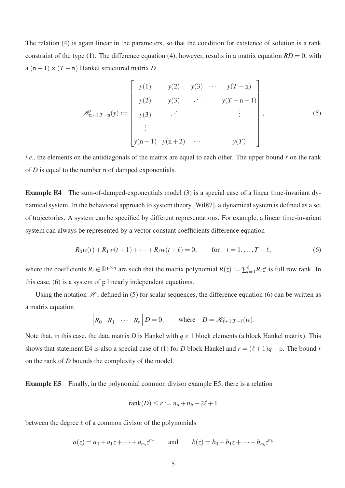The relation (4) is again linear in the parameters, so that the condition for existence of solution is a rank constraint of the type (1). The difference equation (4), however, results in a matrix equation  $RD = 0$ , with  $a(n+1) \times (T-n)$  Hankel structured matrix *D* 

$$
\mathscr{H}_{n+1,T-n}(y) := \begin{bmatrix} y(1) & y(2) & y(3) & \cdots & y(T-n) \\ y(2) & y(3) & \cdots & y(T-n+1) \\ y(3) & \cdots & & \vdots \\ \vdots & & & \vdots \\ y(n+1) & y(n+2) & \cdots & y(T) \end{bmatrix},
$$
(5)

*i.e.*, the elements on the antidiagonals of the matrix are equal to each other. The upper bound *r* on the rank of *D* is equal to the number n of damped exponentials.

Example E4 The sum-of-damped-exponentials model (3) is a special case of a linear time-invariant dynamical system. In the behavioral approach to system theory [Wil87], a dynamical system is defined as a set of trajectories. A system can be specified by different representations. For example, a linear time-invariant system can always be represented by a vector constant coefficients difference equation

$$
R_0 w(t) + R_1 w(t+1) + \dots + R_\ell w(t+\ell) = 0, \qquad \text{for} \quad t = 1, \dots, T - \ell,
$$
 (6)

where the coefficients  $R_i \in \mathbb{R}^{p \times q}$  are such that the matrix polynomial  $R(z) := \sum_{i=0}^{\ell} R_i z^i$  is full row rank. In this case, (6) is a system of p linearly independent equations.

Using the notation  $H$ , defined in (5) for scalar sequences, the difference equation (6) can be written as a matrix equation

$$
\begin{bmatrix} R_0 & R_1 & \cdots & R_n \end{bmatrix} D = 0, \quad \text{where} \quad D = \mathcal{H}_{\ell+1,T-\ell}(w).
$$

Note that, in this case, the data matrix *D* is Hankel with  $q \times 1$  block elements (a block Hankel matrix). This shows that statement E4 is also a special case of (1) for *D* block Hankel and  $r = (\ell + 1)q - p$ . The bound *r* on the rank of *D* bounds the complexity of the model.

Example E5 Finally, in the polynomial common divisor example E5, there is a relation

$$
rank(D) \le r := n_a + n_b - 2\ell + 1
$$

between the degree  $\ell$  of a common divisor of the polynomials

$$
a(z) = a_0 + a_1 z + \dots + a_{n_a} z^{n_a}
$$
 and  $b(z) = b_0 + b_1 z + \dots + b_{n_b} z^{n_b}$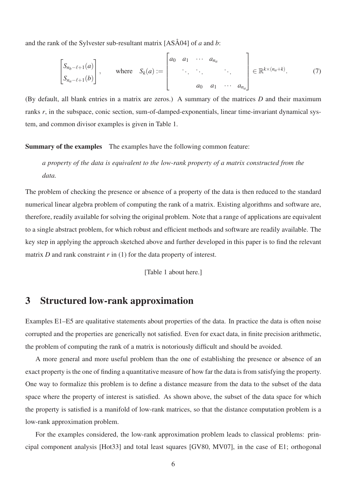and the rank of the Sylvester sub-resultant matrix [ASÅ04] of *a* and *b*:

$$
\begin{bmatrix} S_{n_b-\ell+1}(a) \\ S_{n_a-\ell+1}(b) \end{bmatrix}, \text{ where } S_k(a) := \begin{bmatrix} a_0 & a_1 & \cdots & a_{n_a} \\ & \ddots & \ddots & \ddots \\ & & a_0 & a_1 & \cdots & a_{n_a} \end{bmatrix} \in \mathbb{R}^{k \times (n_a+k)}. \tag{7}
$$

(By default, all blank entries in a matrix are zeros.) A summary of the matrices *D* and their maximum ranks r, in the subspace, conic section, sum-of-damped-exponentials, linear time-invariant dynamical system, and common divisor examples is given in Table 1.

Summary of the examples The examples have the following common feature:

### *a property of the data is equivalent to the low-rank property of a matrix constructed from the data.*

The problem of checking the presence or absence of a property of the data is then reduced to the standard numerical linear algebra problem of computing the rank of a matrix. Existing algorithms and software are, therefore, readily available for solving the original problem. Note that a range of applications are equivalent to a single abstract problem, for which robust and efficient methods and software are readily available. The key step in applying the approach sketched above and further developed in this paper is to find the relevant matrix *D* and rank constraint *r* in (1) for the data property of interest.

[Table 1 about here.]

### 3 Structured low-rank approximation

Examples E1–E5 are qualitative statements about properties of the data. In practice the data is often noise corrupted and the properties are generically not satisfied. Even for exact data, in finite precision arithmetic, the problem of computing the rank of a matrix is notoriously difficult and should be avoided.

A more general and more useful problem than the one of establishing the presence or absence of an exact property is the one of finding a quantitative measure of how far the data is from satisfying the property. One way to formalize this problem is to define a distance measure from the data to the subset of the data space where the property of interest is satisfied. As shown above, the subset of the data space for which the property is satisfied is a manifold of low-rank matrices, so that the distance computation problem is a low-rank approximation problem.

For the examples considered, the low-rank approximation problem leads to classical problems: principal component analysis [Hot33] and total least squares [GV80, MV07], in the case of E1; orthogonal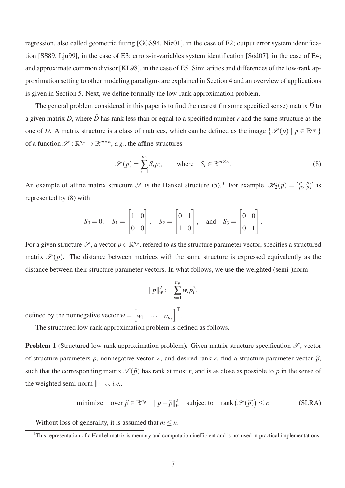regression, also called geometric fitting [GGS94, Nie01], in the case of E2; output error system identification [SS89, Lju99], in the case of E3; errors-in-variables system identification [Söd07], in the case of E4; and approximate common divisor [KL98], in the case of E5. Similarities and differences of the low-rank approximation setting to other modeling paradigms are explained in Section 4 and an overview of applications is given in Section 5. Next, we define formally the low-rank approximation problem.

The general problem considered in this paper is to find the nearest (in some specified sense) matrix  $\hat{D}$  to a given matrix *D*, where  $\hat{D}$  has rank less than or equal to a specified number *r* and the same structure as the one of *D*. A matrix structure is a class of matrices, which can be defined as the image  $\{\mathcal{S}(p) | p \in \mathbb{R}^{n_p}\}\$ of a function  $\mathscr{S} : \mathbb{R}^{n_p} \to \mathbb{R}^{m \times n}$ , *e.g.*, the affine structures

$$
\mathscr{S}(p) = \sum_{i=1}^{n_p} S_i p_i, \quad \text{where} \quad S_i \in \mathbb{R}^{m \times n}.
$$
 (8)

An example of affine matrix structure  $\mathscr{S}$  is the Hankel structure (5).<sup>3</sup> For example,  $\mathscr{H}_2(p) = \begin{bmatrix} p_1 & p_2 \\ p_2 & p_3 \end{bmatrix}$  is represented by (8) with

$$
S_0 = 0
$$
,  $S_1 = \begin{bmatrix} 1 & 0 \\ 0 & 0 \end{bmatrix}$ ,  $S_2 = \begin{bmatrix} 0 & 1 \\ 1 & 0 \end{bmatrix}$ , and  $S_3 = \begin{bmatrix} 0 & 0 \\ 0 & 1 \end{bmatrix}$ .

For a given structure  $\mathscr{S}$ , a vector  $p \in \mathbb{R}^{n_p}$ , refered to as the structure parameter vector, specifies a structured matrix  $\mathscr{S}(p)$ . The distance between matrices with the same structure is expressed equivalently as the distance between their structure parameter vectors. In what follows, we use the weighted (semi-)norm

$$
||p||_{w}^{2} := \sum_{i=1}^{n_p} w_i p_i^{2},
$$

defined by the nonnegative vector  $w = \left[\right]$  $w_1$  ···  $w_{n_p}$ i⊤ .

The structured low-rank approximation problem is defined as follows.

**Problem 1** (Structured low-rank approximation problem). Given matrix structure specification  $\mathscr{S}$ , vector of structure parameters *p*, nonnegative vector *w*, and desired rank *r*, find a structure parameter vector  $\hat{p}$ , such that the corresponding matrix  $\mathcal{S}(\hat{p})$  has rank at most *r*, and is as close as possible to *p* in the sense of the weighted semi-norm  $\|\cdot\|_w$ , *i.e.*,

minimize over 
$$
\hat{p} \in \mathbb{R}^{n_p} \quad ||p - \hat{p}||_w^2
$$
 subject to rank  $(\mathcal{S}(\hat{p})) \le r$ . (SLRA)

Without loss of generality, it is assumed that  $m \leq n$ .

 $3$ This representation of a Hankel matrix is memory and computation inefficient and is not used in practical implementations.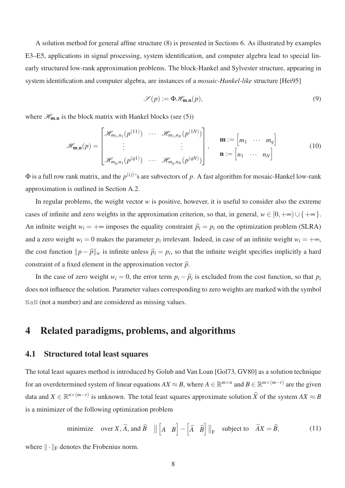A solution method for general affine structure (8) is presented in Sections 6. As illustrated by examples E3–E5, applications in signal processing, system identification, and computer algebra lead to special linearly structured low-rank approximation problems. The block-Hankel and Sylvester structure, appearing in system identification and computer algebra, are instances of a *mosaic-Hankel-like* structure [Hei95]

$$
\mathscr{S}(p) := \Phi \mathscr{H}_{m,n}(p),\tag{9}
$$

where  $\mathcal{H}_{m,n}$  is the block matrix with Hankel blocks (see (5))

$$
\mathscr{H}_{\mathbf{m},\mathbf{n}}(p) = \begin{bmatrix} \mathscr{H}_{m_1,n_1}(p^{(11)}) & \cdots & \mathscr{H}_{m_1,n_N}(p^{(1N)}) \\ \vdots & & \vdots \\ \mathscr{H}_{m_q,n_1}(p^{(q1)}) & \cdots & \mathscr{H}_{m_q,n_N}(p^{(qN)}) \end{bmatrix}, \quad \mathbf{m} := \begin{bmatrix} m_1 & \cdots & m_q \end{bmatrix} \tag{10}
$$

 $\Phi$  is a full row rank matrix, and the  $p^{(ij)}$ 's are subvectors of p. A fast algorithm for mosaic-Hankel low-rank approximation is outlined in Section A.2.

In regular problems, the weight vector *w* is positive, however, it is useful to consider also the extreme cases of infinite and zero weights in the approximation criterion, so that, in general,  $w \in [0, +\infty) \cup \{ +\infty \}.$ An infinite weight  $w_i = +\infty$  imposes the equality constraint  $\hat{p}_i = p_i$  on the optimization problem (SLRA) and a zero weight  $w_i = 0$  makes the parameter  $p_i$  irrelevant. Indeed, in case of an infinite weight  $w_i = +\infty$ , the cost function  $||p - \hat{p}||_w$  is infinite unless  $\hat{p}_i = p_i$ , so that the infinite weight specifies implicitly a hard constraint of a fixed element in the approximation vector  $\hat{p}$ .

In the case of zero weight  $w_i = 0$ , the error term  $p_i - \hat{p}_i$  is excluded from the cost function, so that  $p_i$ does not influence the solution. Parameter values corresponding to zero weights are marked with the symbol NaN (not a number) and are considered as missing values.

### 4 Related paradigms, problems, and algorithms

#### 4.1 Structured total least squares

The total least squares method is introduced by Golub and Van Loan [Gol73, GV80] as a solution technique for an overdetermined system of linear equations  $AX \approx B$ , where  $A \in \mathbb{R}^{m \times n}$  and  $B \in \mathbb{R}^{m \times (m-r)}$  are the given data and  $X \in \mathbb{R}^{n \times (m-r)}$  is unknown. The total least squares approximate solution  $\widehat{X}$  of the system  $AX \approx B$ is a minimizer of the following optimization problem

minimize over X, 
$$
\widehat{A}
$$
, and  $\widehat{B}$  ||  $\begin{bmatrix} A & B \end{bmatrix} - \begin{bmatrix} \widehat{A} & \widehat{B} \end{bmatrix}$  ||<sub>F</sub> subject to  $\widehat{A}X = \widehat{B}$ , (11)

where  $\|\cdot\|_F$  denotes the Frobenius norm.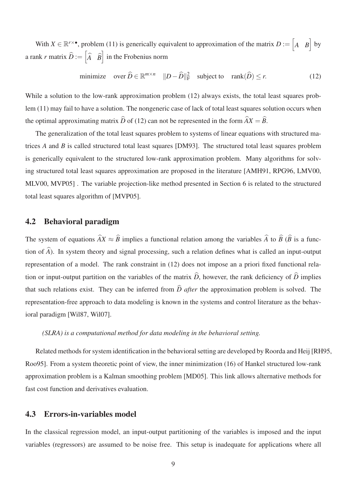With  $X \in \mathbb{R}^{r \times \bullet}$ , problem (11) is generically equivalent to approximation of the matrix  $D := \begin{bmatrix} A & B \end{bmatrix}$  by a rank *r* matrix  $\widehat{D} := \begin{bmatrix} 1 & 0 \\ 0 & 1 \end{bmatrix}$ *A*b *B*b  $\int$  in the Frobenius norm

minimize over 
$$
\widehat{D} \in \mathbb{R}^{m \times n} \quad ||D - \widehat{D}||_F^2
$$
 subject to rank $(\widehat{D}) \le r$ . (12)

While a solution to the low-rank approximation problem (12) always exists, the total least squares problem (11) may fail to have a solution. The nongeneric case of lack of total least squares solution occurs when the optimal approximating matrix  $\hat{D}$  of (12) can not be represented in the form  $\hat{A}X = \hat{B}$ .

The generalization of the total least squares problem to systems of linear equations with structured matrices *A* and *B* is called structured total least squares [DM93]. The structured total least squares problem is generically equivalent to the structured low-rank approximation problem. Many algorithms for solving structured total least squares approximation are proposed in the literature [AMH91, RPG96, LMV00, MLV00, MVP05] . The variable projection-like method presented in Section 6 is related to the structured total least squares algorithm of [MVP05].

#### 4.2 Behavioral paradigm

The system of equations  $\hat{A}X \approx \hat{B}$  implies a functional relation among the variables  $\hat{A}$  to  $\hat{B}$  ( $\hat{B}$  is a function of  $\widehat{A}$ ). In system theory and signal processing, such a relation defines what is called an input-output representation of a model. The rank constraint in (12) does not impose an a priori fixed functional relation or input-output partition on the variables of the matrix  $\hat{D}$ , however, the rank deficiency of  $\hat{D}$  implies that such relations exist. They can be inferred from  $\hat{D}$  *after* the approximation problem is solved. The representation-free approach to data modeling is known in the systems and control literature as the behavioral paradigm [Wil87, Wil07].

#### *(SLRA) is a computational method for data modeling in the behavioral setting.*

Related methods for system identification in the behavioral setting are developed by Roorda and Heij [RH95, Roo95]. From a system theoretic point of view, the inner minimization (16) of Hankel structured low-rank approximation problem is a Kalman smoothing problem [MD05]. This link allows alternative methods for fast cost function and derivatives evaluation.

#### 4.3 Errors-in-variables model

In the classical regression model, an input-output partitioning of the variables is imposed and the input variables (regressors) are assumed to be noise free. This setup is inadequate for applications where all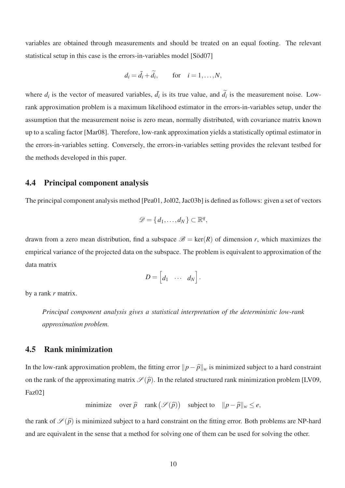variables are obtained through measurements and should be treated on an equal footing. The relevant statistical setup in this case is the errors-in-variables model [Söd07]

$$
d_i = \bar{d}_i + \widetilde{d}_i, \quad \text{for} \quad i = 1, \dots, N,
$$

where  $d_i$  is the vector of measured variables,  $\bar{d}_i$  is its true value, and  $\tilde{d}_i$  is the measurement noise. Lowrank approximation problem is a maximum likelihood estimator in the errors-in-variables setup, under the assumption that the measurement noise is zero mean, normally distributed, with covariance matrix known up to a scaling factor [Mar08]. Therefore, low-rank approximation yields a statistically optimal estimator in the errors-in-variables setting. Conversely, the errors-in-variables setting provides the relevant testbed for the methods developed in this paper.

#### 4.4 Principal component analysis

The principal component analysis method [Pea01, Jol02, Jac03b] is defined as follows: given a set of vectors

$$
\mathscr{D} = \{d_1, \ldots, d_N\} \subset \mathbb{R}^q,
$$

drawn from a zero mean distribution, find a subspace  $\mathcal{B} = \text{ker}(R)$  of dimension *r*, which maximizes the empirical variance of the projected data on the subspace. The problem is equivalent to approximation of the data matrix

$$
D=\begin{bmatrix} d_1 & \cdots & d_N \end{bmatrix}.
$$

by a rank *r* matrix.

*Principal component analysis gives a statistical interpretation of the deterministic low-rank approximation problem.*

#### 4.5 Rank minimization

In the low-rank approximation problem, the fitting error  $||p - \hat{p}||_w$  is minimized subject to a hard constraint on the rank of the approximating matrix  $\mathcal{S}(\hat{p})$ . In the related structured rank minimization problem [LV09, Faz02]

minimize over 
$$
\hat{p}
$$
 rank  $(\mathcal{S}(\hat{p}))$  subject to  $||p - \hat{p}||_w \le e$ ,

the rank of  $\mathscr{S}(\hat{p})$  is minimized subject to a hard constraint on the fitting error. Both problems are NP-hard and are equivalent in the sense that a method for solving one of them can be used for solving the other.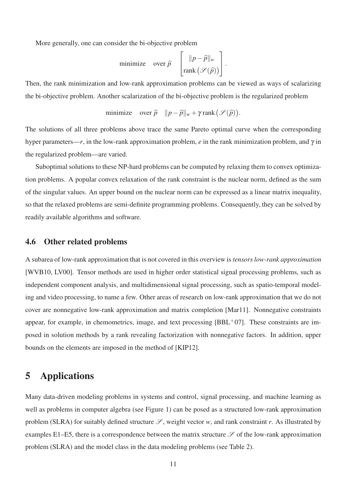More generally, one can consider the bi-objective problem

minimize over 
$$
\hat{p}
$$
  $\begin{bmatrix} ||p-\hat{p}||_w \\ \text{rank}(\mathscr{S}(\hat{p})) \end{bmatrix}$ .

Then, the rank minimization and low-rank approximation problems can be viewed as ways of scalarizing the bi-objective problem. Another scalarization of the bi-objective problem is the regularized problem

minimize over 
$$
\hat{p} \quad ||p - \hat{p}||_w + \gamma \text{ rank } (\mathcal{S}(\hat{p})).
$$

The solutions of all three problems above trace the same Pareto optimal curve when the corresponding hyper parameters—*r*, in the low-rank approximation problem, *e* in the rank minimization problem, and  $\gamma$  in the regularized problem—are varied.

Suboptimal solutions to these NP-hard problems can be computed by relaxing them to convex optimization problems. A popular convex relaxation of the rank constraint is the nuclear norm, defined as the sum of the singular values. An upper bound on the nuclear norm can be expressed as a linear matrix inequality, so that the relaxed problems are semi-definite programming problems. Consequently, they can be solved by readily available algorithms and software.

#### 4.6 Other related problems

A subarea of low-rank approximation that is not covered in this overview is *tensors low-rank approximation* [WVB10, LV00]. Tensor methods are used in higher order statistical signal processing problems, such as independent component analysis, and multidimensional signal processing, such as spatio-temporal modeling and video processing, to name a few. Other areas of research on low-rank approximation that we do not cover are nonnegative low-rank approximation and matrix completion [Mar11]. Nonnegative constraints appear, for example, in chemometrics, image, and text processing  $[BBL<sup>+</sup>07]$ . These constraints are imposed in solution methods by a rank revealing factorization with nonnegative factors. In addition, upper bounds on the elements are imposed in the method of [KIP12].

### 5 Applications

Many data-driven modeling problems in systems and control, signal processing, and machine learning as well as problems in computer algebra (see Figure 1) can be posed as a structured low-rank approximation problem (SLRA) for suitably defined structure  $\mathscr{S}$ , weight vector *w*, and rank constraint *r*. As illustrated by examples E1–E5, there is a correspondence between the matrix structure  $\mathscr S$  of the low-rank approximation problem (SLRA) and the model class in the data modeling problems (see Table 2).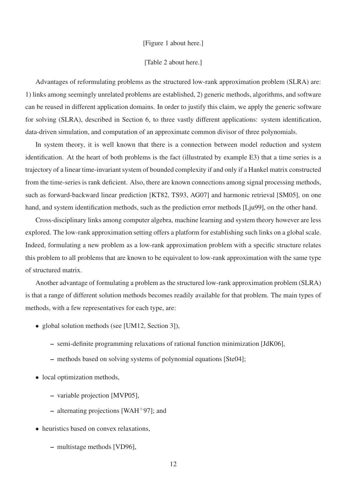#### [Figure 1 about here.]

#### [Table 2 about here.]

Advantages of reformulating problems as the structured low-rank approximation problem (SLRA) are: 1) links among seemingly unrelated problems are established, 2) generic methods, algorithms, and software can be reused in different application domains. In order to justify this claim, we apply the generic software for solving (SLRA), described in Section 6, to three vastly different applications: system identification, data-driven simulation, and computation of an approximate common divisor of three polynomials.

In system theory, it is well known that there is a connection between model reduction and system identification. At the heart of both problems is the fact (illustrated by example E3) that a time series is a trajectory of a linear time-invariant system of bounded complexity if and only if a Hankel matrix constructed from the time-series is rank deficient. Also, there are known connections among signal processing methods, such as forward-backward linear prediction [KT82, TS93, AG07] and harmonic retrieval [SM05], on one hand, and system identification methods, such as the prediction error methods [Lju99], on the other hand.

Cross-disciplinary links among computer algebra, machine learning and system theory however are less explored. The low-rank approximation setting offers a platform for establishing such links on a global scale. Indeed, formulating a new problem as a low-rank approximation problem with a specific structure relates this problem to all problems that are known to be equivalent to low-rank approximation with the same type of structured matrix.

Another advantage of formulating a problem as the structured low-rank approximation problem (SLRA) is that a range of different solution methods becomes readily available for that problem. The main types of methods, with a few representatives for each type, are:

- global solution methods (see [UM12, Section 3]),
	- semi-definite programming relaxations of rational function minimization [JdK06],
	- methods based on solving systems of polynomial equations [Ste04];
- local optimization methods,
	- variable projection [MVP05],
	- alternating projections [WAH<sup>+97]</sup>; and
- heuristics based on convex relaxations,
	- multistage methods [VD96],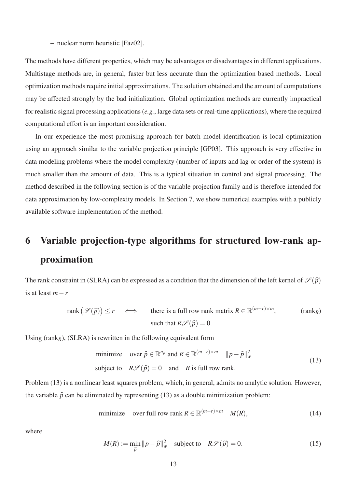– nuclear norm heuristic [Faz02].

The methods have different properties, which may be advantages or disadvantages in different applications. Multistage methods are, in general, faster but less accurate than the optimization based methods. Local optimization methods require initial approximations. The solution obtained and the amount of computations may be affected strongly by the bad initialization. Global optimization methods are currently impractical for realistic signal processing applications (*e.g.*, large data sets or real-time applications), where the required computational effort is an important consideration.

In our experience the most promising approach for batch model identification is local optimization using an approach similar to the variable projection principle [GP03]. This approach is very effective in data modeling problems where the model complexity (number of inputs and lag or order of the system) is much smaller than the amount of data. This is a typical situation in control and signal processing. The method described in the following section is of the variable projection family and is therefore intended for data approximation by low-complexity models. In Section 7, we show numerical examples with a publicly available software implementation of the method.

# 6 Variable projection-type algorithms for structured low-rank approximation

The rank constraint in (SLRA) can be expressed as a condition that the dimension of the left kernel of  $\mathcal{S}(\hat{p})$ is at least *m*−*r*

$$
\text{rank}\left(\mathcal{S}(\hat{p})\right) \le r \quad \Longleftrightarrow \quad \text{there is a full row rank matrix } R \in \mathbb{R}^{(m-r)\times m}, \quad (\text{rank}_R)
$$
\n
$$
\text{such that } R\mathcal{S}(\hat{p}) = 0.
$$

Using  $(rank_R)$ ,  $(SLRA)$  is rewritten in the following equivalent form

minimize over 
$$
\hat{p} \in \mathbb{R}^{n_p}
$$
 and  $R \in \mathbb{R}^{(m-r)\times m}$   $||p-\hat{p}||_w^2$   
\nsubject to  $R\mathscr{S}(\hat{p}) = 0$  and R is full row rank. (13)

Problem (13) is a nonlinear least squares problem, which, in general, admits no analytic solution. However, the variable  $\hat{p}$  can be eliminated by representing (13) as a double minimization problem:

minimize over full row rank 
$$
R \in \mathbb{R}^{(m-r)\times m}
$$
  $M(R)$ , (14)

where

$$
M(R) := \min_{\widehat{p}} \|p - \widehat{p}\|_{w}^{2} \quad \text{subject to} \quad R\mathscr{S}(\widehat{p}) = 0. \tag{15}
$$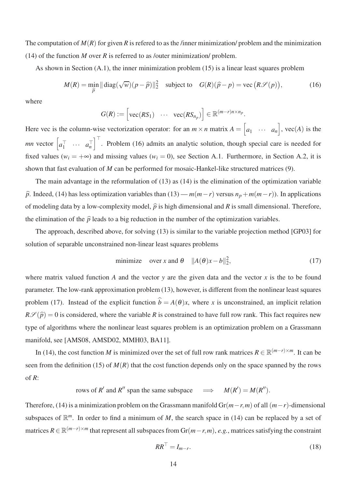The computation of  $M(R)$  for given R is refered to as the *l*inner minimization/ problem and the minimization (14) of the function *M* over *R* is referred to as /outer minimization/ problem.

As shown in Section  $(A,1)$ , the inner minimization problem  $(15)$  is a linear least squares problem

$$
M(R) = \min_{\widehat{p}} ||\operatorname{diag}(\sqrt{w})(p - \widehat{p})||_2^2 \quad \text{subject to} \quad G(R)(\widehat{p} - p) = \text{vec}(R\mathcal{S}(p)), \tag{16}
$$

where

$$
G(R) := \begin{bmatrix} \text{vec}(RS_1) & \cdots & \text{vec}(RS_{n_p}) \end{bmatrix} \in \mathbb{R}^{(m-r)n \times n_p}.
$$

Here vec is the column-wise vectorization operator: for an  $m \times n$  matrix  $A = \begin{bmatrix} a & b \\ c & d \end{bmatrix}$  $a_1 \cdots a_n$  $\Big]$ , vec $(A)$  is the *mn* vector  $\begin{bmatrix} a_1^\top & \cdots & a_n^\top \end{bmatrix}$  $\int_{0}^{\top}$ . Problem (16) admits an analytic solution, though special care is needed for fixed values ( $w_i = +\infty$ ) and missing values ( $w_i = 0$ ), see Section A.1. Furthermore, in Section A.2, it is shown that fast evaluation of *M* can be performed for mosaic-Hankel-like structured matrices (9).

The main advantage in the reformulation of (13) as (14) is the elimination of the optimization variable  $\hat{p}$ . Indeed, (14) has less optimization variables than (13) — *m*(*m*−*r*) versus *n<sub>p</sub>*+*m*(*m*−*r*)). In applications of modeling data by a low-complexity model,  $\hat{p}$  is high dimensional and *R* is small dimensional. Therefore, the elimination of the  $\hat{p}$  leads to a big reduction in the number of the optimization variables.

The approach, described above, for solving (13) is similar to the variable projection method [GP03] for solution of separable unconstrained non-linear least squares problems

minimize over x and 
$$
\theta
$$
  $||A(\theta)x - b||_2^2$ , (17)

where matrix valued function *A* and the vector *y* are the given data and the vector *x* is the to be found parameter. The low-rank approximation problem (13), however, is different from the nonlinear least squares problem (17). Instead of the explicit function  $\hat{b} = A(\theta)x$ , where *x* is unconstrained, an implicit relation  $R\mathscr{S}(\hat{p}) = 0$  is considered, where the variable *R* is constrained to have full row rank. This fact requires new type of algorithms where the nonlinear least squares problem is an optimization problem on a Grassmann manifold, see [AMS08, AMSD02, MMH03, BA11].

In (14), the cost function *M* is minimized over the set of full row rank matrices  $R \in \mathbb{R}^{(m-r)\times m}$ . It can be seen from the definition (15) of  $M(R)$  that the cost function depends only on the space spanned by the rows of *R*:

rows of *R'* and *R''* span the same subspace  $\implies$   $M(R') = M(R'')$ .

Therefore, (14) is a minimization problem on the Grassmann manifold  $Gr(m-r,m)$  of all  $(m-r)$ -dimensional subspaces of  $\mathbb{R}^m$ . In order to find a minimum of *M*, the search space in (14) can be replaced by a set of matrices  $R \in \mathbb{R}^{(m-r)\times m}$  that represent all subspaces from Gr( $m-r,m$ ), *e.g.*, matrices satisfying the constraint

$$
RR^{\perp} = I_{m-r}.\tag{18}
$$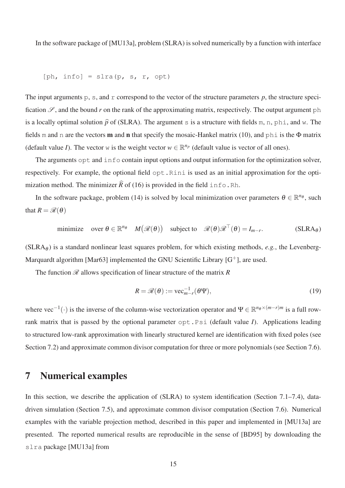In the software package of [MU13a], problem (SLRA) is solved numerically by a function with interface

$$
[ph, info] = slra(p, s, r, opt)
$$

The input arguments  $p$ ,  $s$ , and  $r$  correspond to the vector of the structure parameters  $p$ , the structure specification  $\mathscr{S}$ , and the bound *r* on the rank of the approximating matrix, respectively. The output argument ph is a locally optimal solution  $\hat{p}$  of (SLRA). The argument s is a structure with fields m, n, phi, and w. The fields m and n are the vectors **m** and **n** that specify the mosaic-Hankel matrix (10), and phi is the  $\Phi$  matrix (default value *I*). The vector w is the weight vector  $w \in \mathbb{R}^{n_p}$  (default value is vector of all ones).

The arguments opt and  $\pm$ nfo contain input options and output information for the optimization solver, respectively. For example, the optional field  $opt$ . Rini is used as an initial approximation for the optimization method. The minimizer  $\hat{R}$  of (16) is provided in the field info.Rh.

In the software package, problem (14) is solved by local minimization over parameters  $\theta \in \mathbb{R}^{n_{\theta}}$ , such that  $R = \mathcal{R}(\theta)$ 

minimize over 
$$
\theta \in \mathbb{R}^{n_{\theta}}
$$
  $M(\mathcal{R}(\theta))$  subject to  $\mathcal{R}(\theta)\mathcal{R}^{\top}(\theta) = I_{m-r}$ . (SLRA <sub>$\theta$</sub> )

 $(SLRA<sub>θ</sub>)$  is a standard nonlinear least squares problem, for which existing methods, *e.g.*, the Levenberg-Marquardt algorithm [Mar63] implemented the GNU Scientific Library  $[G^+]$ , are used.

The function  $\mathcal R$  allows specification of linear structure of the matrix  $R$ 

$$
R = \mathcal{R}(\theta) := \text{vec}_{m-r}^{-1}(\theta \Psi), \tag{19}
$$

where vec<sup>-1</sup>(·) is the inverse of the column-wise vectorization operator and  $\Psi \in \mathbb{R}^{n_{\theta} \times (m-r)m}$  is a full rowrank matrix that is passed by the optional parameter opt.Psi (default value *I*). Applications leading to structured low-rank approximation with linearly structured kernel are identification with fixed poles (see Section 7.2) and approximate common divisor computation for three or more polynomials (see Section 7.6).

### 7 Numerical examples

In this section, we describe the application of (SLRA) to system identification (Section 7.1–7.4), datadriven simulation (Section 7.5), and approximate common divisor computation (Section 7.6). Numerical examples with the variable projection method, described in this paper and implemented in [MU13a] are presented. The reported numerical results are reproducible in the sense of [BD95] by downloading the slra package [MU13a] from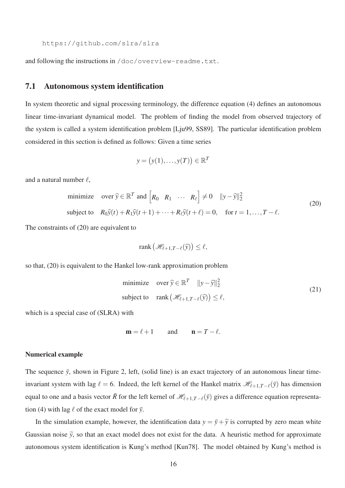https://github.com/slra/slra

and following the instructions in /doc/overview-readme.txt.

#### 7.1 Autonomous system identification

In system theoretic and signal processing terminology, the difference equation (4) defines an autonomous linear time-invariant dynamical model. The problem of finding the model from observed trajectory of the system is called a system identification problem [Lju99, SS89]. The particular identification problem considered in this section is defined as follows: Given a time series

$$
y = (y(1), \ldots, y(T)) \in \mathbb{R}^T
$$

and a natural number  $\ell$ ,

minimize over 
$$
\hat{y} \in \mathbb{R}^T
$$
 and  $\begin{bmatrix} R_0 & R_1 & \cdots & R_\ell \end{bmatrix} \neq 0$   $||y - \hat{y}||_2^2$   
\nsubject to  $R_0\hat{y}(t) + R_1\hat{y}(t+1) + \cdots + R_\ell\hat{y}(t+\ell) = 0$ , for  $t = 1, ..., T - \ell$ . (20)

The constraints of (20) are equivalent to

$$
\operatorname{rank}(\mathscr{H}_{\ell+1,T-\ell}(\widehat{y})) \leq \ell,
$$

so that, (20) is equivalent to the Hankel low-rank approximation problem

minimize over 
$$
\hat{y} \in \mathbb{R}^T
$$
  $||y - \hat{y}||_2^2$   
subject to rank  $(\mathcal{H}_{\ell+1,T-\ell}(\hat{y})) \le \ell$ , (21)

which is a special case of (SLRA) with

$$
\mathbf{m} = \ell + 1 \qquad \text{and} \qquad \mathbf{n} = T - \ell.
$$

#### Numerical example

The sequence  $\bar{y}$ , shown in Figure 2, left, (solid line) is an exact trajectory of an autonomous linear timeinvariant system with lag  $\ell = 6$ . Indeed, the left kernel of the Hankel matrix  $\mathcal{H}_{\ell+1,T-\ell}(\bar{y})$  has dimension equal to one and a basis vector  $\bar{R}$  for the left kernel of  $\mathcal{H}_{l+1,T-\ell}(\bar{y})$  gives a difference equation representation (4) with lag  $\ell$  of the exact model for  $\bar{y}$ .

In the simulation example, however, the identification data  $y = \bar{y} + \tilde{y}$  is corrupted by zero mean white Gaussian noise  $\tilde{y}$ , so that an exact model does not exist for the data. A heuristic method for approximate autonomous system identification is Kung's method [Kun78]. The model obtained by Kung's method is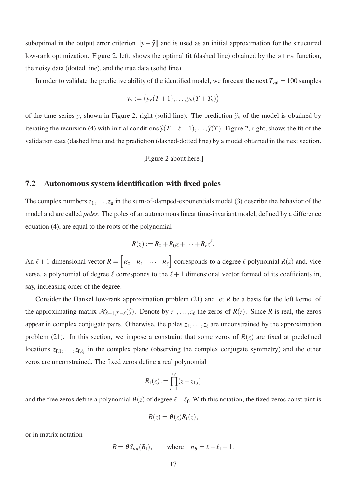suboptimal in the output error criterion  $||y - \hat{y}||$  and is used as an initial approximation for the structured low-rank optimization. Figure 2, left, shows the optimal fit (dashed line) obtained by the slra function, the noisy data (dotted line), and the true data (solid line).

In order to validate the predictive ability of the identified model, we forecast the next  $T_{val} = 100$  samples

$$
y_v := (y_v(T + 1), \ldots, y_v(T + T_v))
$$

of the time series *y*, shown in Figure 2, right (solid line). The prediction  $\hat{y}_v$  of the model is obtained by iterating the recursion (4) with initial conditions  $\hat{y}(T - \ell + 1), \ldots, \hat{y}(T)$ . Figure 2, right, shows the fit of the validation data (dashed line) and the prediction (dashed-dotted line) by a model obtained in the next section.

[Figure 2 about here.]

#### 7.2 Autonomous system identification with fixed poles

The complex numbers  $z_1, \ldots, z_n$  in the sum-of-damped-exponentials model (3) describe the behavior of the model and are called *poles*. The poles of an autonomous linear time-invariant model, defined by a difference equation (4), are equal to the roots of the polynomial

$$
R(z) := R_0 + R_0 z + \cdots + R_{\ell} z^{\ell}.
$$

An  $\ell + 1$  dimensional vector  $R = \lceil \frac{\ell + 1}{\ell + 1} \rceil$  $R_0$   $R_1$   $\cdots$   $R_\ell$ corresponds to a degree  $\ell$  polynomial  $R(z)$  and, vice verse, a polynomial of degree  $\ell$  corresponds to the  $\ell + 1$  dimensional vector formed of its coefficients in, say, increasing order of the degree.

Consider the Hankel low-rank approximation problem (21) and let *R* be a basis for the left kernel of the approximating matrix  $\mathcal{H}_{\ell+1,T-\ell}(\widehat{y})$ . Denote by  $z_1,\ldots,z_\ell$  the zeros of  $R(z)$ . Since R is real, the zeros appear in complex conjugate pairs. Otherwise, the poles  $z_1, \ldots, z_\ell$  are unconstrained by the approximation problem (21). In this section, we impose a constraint that some zeros of  $R(z)$  are fixed at predefined locations  $z_{f,1},...,z_{f,\ell_f}$  in the complex plane (observing the complex conjugate symmetry) and the other zeros are unconstrained. The fixed zeros define a real polynomial

$$
R_{\mathrm{f}}(z):=\prod_{i=1}^{\ell_{\mathrm{f}}}(z-z_{\mathrm{f},i})
$$

and the free zeros define a polynomial  $\theta(z)$  of degree  $\ell - \ell_f$ . With this notation, the fixed zeros constraint is

$$
R(z) = \theta(z)R_{\rm f}(z),
$$

or in matrix notation

$$
R = \theta S_{n_{\theta}}(R_{\text{f}}), \quad \text{where} \quad n_{\theta} = \ell - \ell_{\text{f}} + 1.
$$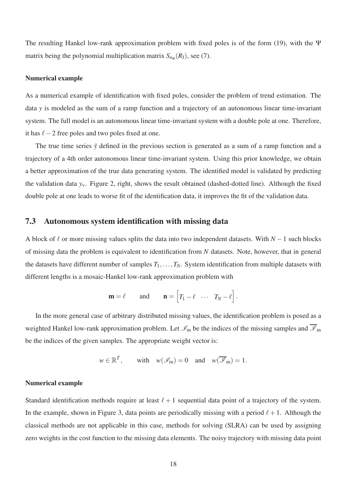The resulting Hankel low-rank approximation problem with fixed poles is of the form (19), with the Ψ matrix being the polynomial multiplication matrix  $S_{n\theta}(R_f)$ , see (7).

#### Numerical example

As a numerical example of identification with fixed poles, consider the problem of trend estimation. The data *y* is modeled as the sum of a ramp function and a trajectory of an autonomous linear time-invariant system. The full model is an autonomous linear time-invariant system with a double pole at one. Therefore, it has  $ℓ − 2$  free poles and two poles fixed at one.

The true time series  $\bar{y}$  defined in the previous section is generated as a sum of a ramp function and a trajectory of a 4th order autonomous linear time-invariant system. Using this prior knowledge, we obtain a better approximation of the true data generating system. The identified model is validated by predicting the validation data *y*v. Figure 2, right, shows the result obtained (dashed-dotted line). Although the fixed double pole at one leads to worse fit of the identification data, it improves the fit of the validation data.

#### 7.3 Autonomous system identification with missing data

A block of ℓ or more missing values splits the data into two independent datasets. With *N* −1 such blocks of missing data the problem is equivalent to identification from *N* datasets. Note, however, that in general the datasets have different number of samples  $T_1, \ldots, T_N$ . System identification from multiple datasets with different lengths is a mosaic-Hankel low-rank approximation problem with

$$
\mathbf{m} = \ell \quad \text{and} \quad \mathbf{n} = \begin{bmatrix} T_1 - \ell & \cdots & T_N - \ell \end{bmatrix}.
$$

In the more general case of arbitrary distributed missing values, the identification problem is posed as a weighted Hankel low-rank approximation problem. Let  $\mathcal{I}_m$  be the indices of the missing samples and  $\overline{\mathcal{I}}_m$ be the indices of the given samples. The appropriate weight vector is:

$$
w \in \mathbb{R}^T
$$
, with  $w(\mathscr{I}_m) = 0$  and  $w(\overline{\mathscr{I}}_m) = 1$ .

#### Numerical example

Standard identification methods require at least  $\ell + 1$  sequential data point of a trajectory of the system. In the example, shown in Figure 3, data points are periodically missing with a period  $\ell + 1$ . Although the classical methods are not applicable in this case, methods for solving (SLRA) can be used by assigning zero weights in the cost function to the missing data elements. The noisy trajectory with missing data point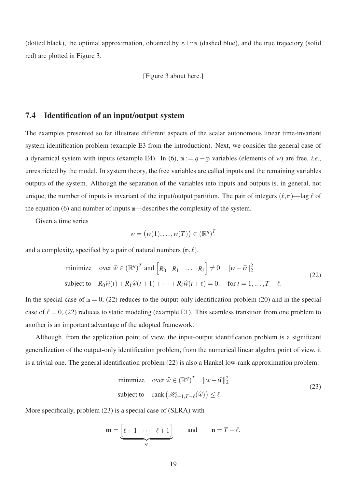(dotted black), the optimal approximation, obtained by slra (dashed blue), and the true trajectory (solid red) are plotted in Figure 3.

[Figure 3 about here.]

#### 7.4 Identification of an input/output system

The examples presented so far illustrate different aspects of the scalar autonomous linear time-invariant system identification problem (example E3 from the introduction). Next, we consider the general case of a dynamical system with inputs (example E4). In (6),  $m := q - p$  variables (elements of *w*) are free, *i.e.*, unrestricted by the model. In system theory, the free variables are called inputs and the remaining variables outputs of the system. Although the separation of the variables into inputs and outputs is, in general, not unique, the number of inputs is invariant of the input/output partition. The pair of integers  $(\ell,m)$ —lag  $\ell$  of the equation (6) and number of inputs m—describes the complexity of the system.

Given a time series

$$
w = (w(1), \dots, w(T)) \in (\mathbb{R}^q)^T
$$

and a complexity, specified by a pair of natural numbers  $(m, \ell)$ ,

minimize over 
$$
\widehat{w} \in (\mathbb{R}^q)^T
$$
 and  $\begin{bmatrix} R_0 & R_1 & \cdots & R_\ell \end{bmatrix} \neq 0$   $||w - \widehat{w}||_2^2$   
subject to  $R_0 \widehat{w}(t) + R_1 \widehat{w}(t+1) + \cdots + R_\ell \widehat{w}(t+\ell) = 0$ , for  $t = 1, ..., T - \ell$ . (22)

In the special case of  $m = 0$ , (22) reduces to the output-only identification problem (20) and in the special case of  $\ell = 0$ , (22) reduces to static modeling (example E1). This seamless transition from one problem to another is an important advantage of the adopted framework.

Although, from the application point of view, the input-output identification problem is a significant generalization of the output-only identification problem, from the numerical linear algebra point of view, it is a trivial one. The general identification problem (22) is also a Hankel low-rank approximation problem:

minimize over 
$$
\widehat{w} \in (\mathbb{R}^q)^T \quad ||w - \widehat{w}||_2^2
$$
  
subject to rank  $(\mathcal{H}_{\ell+1,T-\ell}(\widehat{w})) \le \ell$ . (23)

More specifically, problem (23) is a special case of (SLRA) with

$$
\mathbf{m} = \underbrace{\begin{bmatrix} \ell+1 & \cdots & \ell+1 \end{bmatrix}}_{q} \quad \text{and} \quad \mathbf{n} = T - \ell.
$$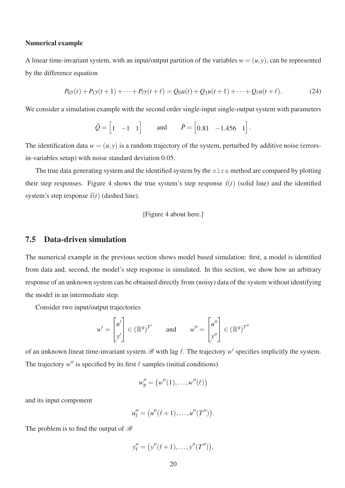#### Numerical example

A linear time-invariant system, with an input/output partition of the variables  $w = (u, y)$ , can be represented by the difference equation

$$
P_{0}y(t) + P_{1}y(t+1) + \dots + P_{\ell}y(t+\ell) = Q_{0}u(t) + Q_{1}u(t+1) + \dots + Q_{\ell}u(t+\ell). \tag{24}
$$

We consider a simulation example with the second order single-input single-output system with parameters

$$
\bar{Q} = \begin{bmatrix} 1 & -1 & 1 \end{bmatrix} \quad \text{and} \quad \bar{P} = \begin{bmatrix} 0.81 & -1.456 & 1 \end{bmatrix}.
$$

The identification data  $w = (u, y)$  is a random trajectory of the system, perturbed by additive noise (errorsin-variables setup) with noise standard deviation 0.05.

The true data generating system and the identified system by the  $s \ln a$  method are compared by plotting their step responses. Figure 4 shows the true system's step response  $\bar{s}(t)$  (solid line) and the identified system's step response  $\hat{s}(t)$  (dashed line).

#### [Figure 4 about here.]

#### 7.5 Data-driven simulation

The numerical example in the previous section shows model based simulation: first, a model is identified from data and, second, the model's step response is simulated. In this section, we show how an arbitrary response of an unknown system can be obtained directly from (noisy) data of the system without identifying the model in an intermediate step.

Consider two input/output trajectories

$$
w' = \begin{bmatrix} u' \\ y' \end{bmatrix} \in (\mathbb{R}^q)^{T'} \quad \text{and} \quad w'' = \begin{bmatrix} u'' \\ y'' \end{bmatrix} \in (\mathbb{R}^q)^{T''}
$$

of an unknown linear time-invariant system  $\mathscr B$  with lag  $\ell$ . The trajectory  $w'$  specifies implicitly the system. The trajectory  $w''$  is specified by its first  $\ell$  samples (initial conditions)

$$
w''_p = \big(w''(1), \ldots, w''(\ell)\big)
$$

and its input component

$$
u''_f = (u''(\ell+1), \ldots, u''(T'')).
$$

The problem is to find the output of  $\mathscr B$ 

$$
y''_f=\big(y''(\ell+1),\ldots,y''(T'')\big),
$$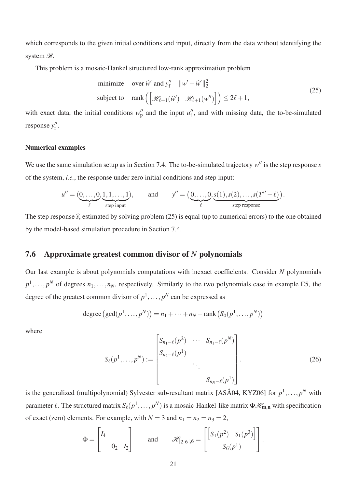which corresponds to the given initial conditions and input, directly from the data without identifying the system  $\mathscr{B}$ .

This problem is a mosaic-Hankel structured low-rank approximation problem

minimize over 
$$
\widehat{w}'
$$
 and  $y''_f \quad ||w' - \widehat{w}'||_2^2$   
\nsubject to rank  $\left( \left[ \mathcal{H}_{\ell+1}(\widehat{w}') \quad \mathcal{H}_{\ell+1}(w'') \right] \right) \le 2\ell + 1,$  (25)

with exact data, the initial conditions  $w_p''$  and the input  $u_f''$ , and with missing data, the to-be-simulated response y<sup>''</sup>.

#### Numerical examples

We use the same simulation setup as in Section 7.4. The to-be-simulated trajectory  $w''$  is the step response  $s$ of the system, *i.e.*, the response under zero initial conditions and step input:

$$
u'' = (\underbrace{0,\ldots,0}_{\ell},\underbrace{1,1,\ldots,1}_{\text{step input}}), \qquad \text{and} \qquad y'' = \big(\underbrace{0,\ldots,0}_{\ell},\underbrace{s(1),s(2),\ldots,s(T''-\ell)}_{\text{step response}}\big).
$$

The step response  $\hat{s}$ , estimated by solving problem (25) is equal (up to numerical errors) to the one obtained by the model-based simulation procedure in Section 7.4.

#### 7.6 Approximate greatest common divisor of *N* polynomials

Our last example is about polynomials computations with inexact coefficients. Consider *N* polynomials  $p^1, \ldots, p^N$  of degrees  $n_1, \ldots, n_N$ , respectively. Similarly to the two polynomials case in example E5, the degree of the greatest common divisor of  $p^1, \ldots, p^N$  can be expressed as

degree 
$$
(gcd(p^1, ..., p^N)) = n_1 + ... + n_N - rank (S_0(p^1, ..., p^N))
$$

where

$$
S_{\ell}(p^{1},...,p^{N}) := \begin{bmatrix} S_{n_{1}-\ell}(p^{2}) & \cdots & S_{n_{1}-\ell}(p^{N}) \\ S_{n_{2}-\ell}(p^{1}) & & \\ & \ddots & \\ & & S_{n_{N}-\ell}(p^{1}) \end{bmatrix}.
$$
 (26)

is the generalized (multipolynomial) Sylvester sub-resultant matrix [ASÅ04, KYZ06] for  $p^1, \ldots, p^N$  with parameter  $\ell$ . The structured matrix  $S_{\ell}(p^{1},...,p^{N})$  is a mosaic-Hankel-like matrix  $\Phi\mathscr{H}_{m,n}$  with specification of exact (zero) elements. For example, with  $N = 3$  and  $n_1 = n_2 = n_3 = 2$ ,

$$
\Phi = \begin{bmatrix} I_4 & & \\ & 0_2 & I_2 \end{bmatrix} \qquad \text{and} \qquad \mathscr{H}_{[2\ 6], 6} = \begin{bmatrix} \begin{bmatrix} S_1(p^2) & S_1(p^3) \end{bmatrix} \\ & S_6(p^1) \end{bmatrix}.
$$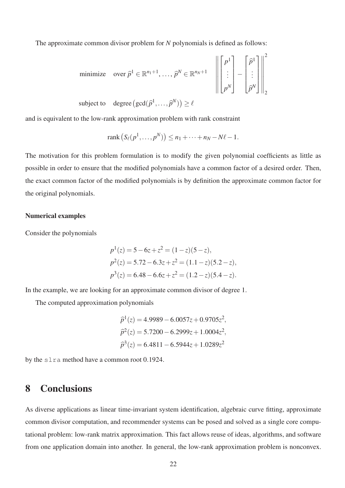The approximate common divisor problem for *N* polynomials is defined as follows:

minimize over 
$$
\hat{p}^1 \in \mathbb{R}^{n_1+1}, \dots, \hat{p}^N \in \mathbb{R}^{n_N+1}
$$
\n
$$
\left\| \begin{bmatrix} p^1 \\ \vdots \\ p^N \end{bmatrix} - \begin{bmatrix} \hat{p}^1 \\ \vdots \\ \hat{p}^N \end{bmatrix} \right\|_2^2
$$
\nsubject to degree  $(\gcd(\hat{p}^1, \hat{p}^N)) > \ell$ 

subject to degree  $(\gcd(\widehat{p}^1, ..., \widehat{p}^N)) \ge \ell$ 

and is equivalent to the low-rank approximation problem with rank constraint

$$
rank(S_{\ell}(p^{1},...,p^{N})) \leq n_{1}+\cdots+n_{N}-N\ell-1.
$$

The motivation for this problem formulation is to modify the given polynomial coefficients as little as possible in order to ensure that the modified polynomials have a common factor of a desired order. Then, the exact common factor of the modified polynomials is by definition the approximate common factor for the original polynomials.

#### Numerical examples

Consider the polynomials

$$
p1(z) = 5 - 6z + z2 = (1 - z)(5 - z),
$$
  
\n
$$
p2(z) = 5.72 - 6.3z + z2 = (1.1 - z)(5.2 - z),
$$
  
\n
$$
p3(z) = 6.48 - 6.6z + z2 = (1.2 - z)(5.4 - z).
$$

In the example, we are looking for an approximate common divisor of degree 1.

The computed approximation polynomials

$$
\hat{p}^1(z) = 4.9989 - 6.0057z + 0.9705z^2,
$$
  
\n
$$
\hat{p}^2(z) = 5.7200 - 6.2999z + 1.0004z^2,
$$
  
\n
$$
\hat{p}^3(z) = 6.4811 - 6.5944z + 1.0289z^2
$$

by the slra method have a common root 0.1924.

### 8 Conclusions

As diverse applications as linear time-invariant system identification, algebraic curve fitting, approximate common divisor computation, and recommender systems can be posed and solved as a single core computational problem: low-rank matrix approximation. This fact allows reuse of ideas, algorithms, and software from one application domain into another. In general, the low-rank approximation problem is nonconvex.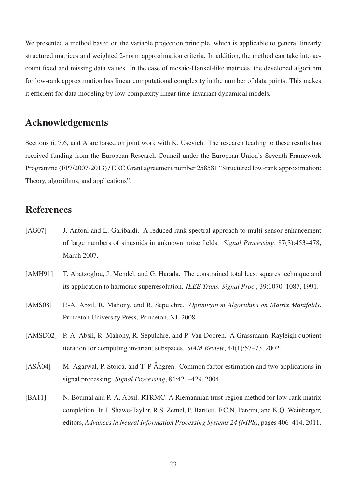We presented a method based on the variable projection principle, which is applicable to general linearly structured matrices and weighted 2-norm approximation criteria. In addition, the method can take into account fixed and missing data values. In the case of mosaic-Hankel-like matrices, the developed algorithm for low-rank approximation has linear computational complexity in the number of data points. This makes it efficient for data modeling by low-complexity linear time-invariant dynamical models.

### Acknowledgements

Sections 6, 7.6, and A are based on joint work with K. Usevich. The research leading to these results has received funding from the European Research Council under the European Union's Seventh Framework Programme (FP7/2007-2013) / ERC Grant agreement number 258581 "Structured low-rank approximation: Theory, algorithms, and applications".

### References

- [AG07] J. Antoni and L. Garibaldi. A reduced-rank spectral approach to multi-sensor enhancement of large numbers of sinusoids in unknown noise fields. *Signal Processing*, 87(3):453–478, March 2007.
- [AMH91] T. Abatzoglou, J. Mendel, and G. Harada. The constrained total least squares technique and its application to harmonic superresolution. *IEEE Trans. Signal Proc.*, 39:1070–1087, 1991.
- [AMS08] P.-A. Absil, R. Mahony, and R. Sepulchre. *Optimization Algorithms on Matrix Manifolds*. Princeton University Press, Princeton, NJ, 2008.
- [AMSD02] P.-A. Absil, R. Mahony, R. Sepulchre, and P. Van Dooren. A Grassmann–Rayleigh quotient iteration for computing invariant subspaces. *SIAM Review*, 44(1):57–73, 2002.
- [ASÅ04] M. Agarwal, P. Stoica, and T. P Åhgren. Common factor estimation and two applications in signal processing. *Signal Processing*, 84:421–429, 2004.
- [BA11] N. Boumal and P.-A. Absil. RTRMC: A Riemannian trust-region method for low-rank matrix completion. In J. Shawe-Taylor, R.S. Zemel, P. Bartlett, F.C.N. Pereira, and K.Q. Weinberger, editors, *Advances in Neural Information Processing Systems 24 (NIPS)*, pages 406–414. 2011.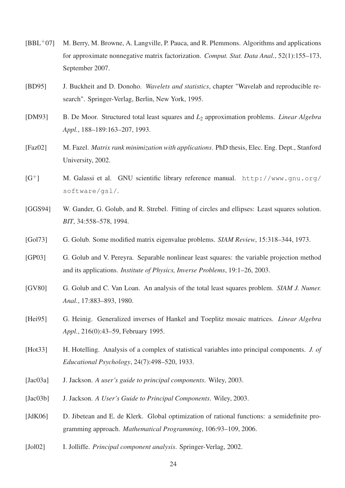- [BBL+07] M. Berry, M. Browne, A. Langville, P. Pauca, and R. Plemmons. Algorithms and applications for approximate nonnegative matrix factorization. *Comput. Stat. Data Anal.*, 52(1):155–173, September 2007.
- [BD95] J. Buckheit and D. Donoho. *Wavelets and statistics*, chapter "Wavelab and reproducible research". Springer-Verlag, Berlin, New York, 1995.
- [DM93] B. De Moor. Structured total least squares and *L*<sup>2</sup> approximation problems. *Linear Algebra Appl.*, 188–189:163–207, 1993.
- [Faz02] M. Fazel. *Matrix rank minimization with applications*. PhD thesis, Elec. Eng. Dept., Stanford University, 2002.
- [G+] M. Galassi et al. GNU scientific library reference manual. http://www.gnu.org/ software/gsl/.
- [GGS94] W. Gander, G. Golub, and R. Strebel. Fitting of circles and ellipses: Least squares solution. *BIT*, 34:558–578, 1994.
- [Gol73] G. Golub. Some modified matrix eigenvalue problems. *SIAM Review*, 15:318–344, 1973.
- [GP03] G. Golub and V. Pereyra. Separable nonlinear least squares: the variable projection method and its applications. *Institute of Physics, Inverse Problems*, 19:1–26, 2003.
- [GV80] G. Golub and C. Van Loan. An analysis of the total least squares problem. *SIAM J. Numer. Anal.*, 17:883–893, 1980.
- [Hei95] G. Heinig. Generalized inverses of Hankel and Toeplitz mosaic matrices. *Linear Algebra Appl.*, 216(0):43–59, February 1995.
- [Hot33] H. Hotelling. Analysis of a complex of statistical variables into principal components. *J. of Educational Psychology*, 24(7):498–520, 1933.
- [Jac03a] J. Jackson. *A user's guide to principal components*. Wiley, 2003.
- [Jac03b] J. Jackson. *A User's Guide to Principal Components*. Wiley, 2003.
- [JdK06] D. Jibetean and E. de Klerk. Global optimization of rational functions: a semidefinite programming approach. *Mathematical Programming*, 106:93–109, 2006.
- [Jol02] I. Jolliffe. *Principal component analysis*. Springer-Verlag, 2002.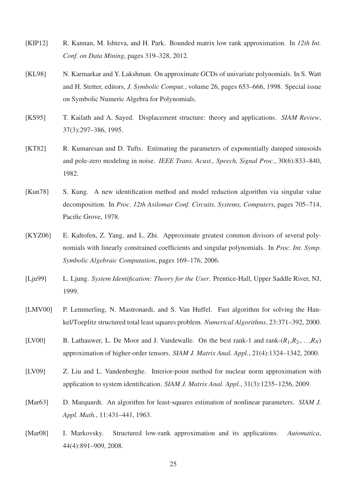- [KIP12] R. Kannan, M. Ishteva, and H. Park. Bounded matrix low rank approximation. In *12th Int. Conf. on Data Mining*, pages 319–328, 2012.
- [KL98] N. Karmarkar and Y. Lakshman. On approximate GCDs of univariate polynomials. In S. Watt and H. Stetter, editors, *J. Symbolic Comput.*, volume 26, pages 653–666, 1998. Special issue on Symbolic Numeric Algebra for Polynomials.
- [KS95] T. Kailath and A. Sayed. Displacement structure: theory and applications. *SIAM Review*, 37(3):297–386, 1995.
- [KT82] R. Kumaresan and D. Tufts. Estimating the parameters of exponentially damped sinusoids and pole-zero modeling in noise. *IEEE Trans. Acust., Speech, Signal Proc.*, 30(6):833–840, 1982.
- [Kun78] S. Kung. A new identification method and model reduction algorithm via singular value decomposition. In *Proc. 12th Asilomar Conf. Circuits, Systems, Computers*, pages 705–714, Pacific Grove, 1978.
- [KYZ06] E. Kaltofen, Z. Yang, and L. Zhi. Approximate greatest common divisors of several polynomials with linearly constrained coefficients and singular polynomials. In *Proc. Int. Symp. Symbolic Algebraic Computation*, pages 169–176, 2006.
- [Lju99] L. Ljung. *System Identification: Theory for the User*. Prentice-Hall, Upper Saddle River, NJ, 1999.
- [LMV00] P. Lemmerling, N. Mastronardi, and S. Van Huffel. Fast algorithm for solving the Hankel/Toeplitz structured total least squares problem. *Numerical Algorithms*, 23:371–392, 2000.
- [LV00] B. Lathauwer, L. De Moor and J. Vandewalle. On the best rank-1 and rank- $(R_1, R_2, \ldots, R_N)$ approximation of higher-order tensors. *SIAM J. Matrix Anal. Appl.*, 21(4):1324–1342, 2000.
- [LV09] Z. Liu and L. Vandenberghe. Interior-point method for nuclear norm approximation with application to system identification. *SIAM J. Matrix Anal. Appl.*, 31(3):1235–1256, 2009.
- [Mar63] D. Marquardt. An algorithm for least-squares estimation of nonlinear parameters. *SIAM J. Appl. Math.*, 11:431–441, 1963.
- [Mar08] I. Markovsky. Structured low-rank approximation and its applications. *Automatica*, 44(4):891–909, 2008.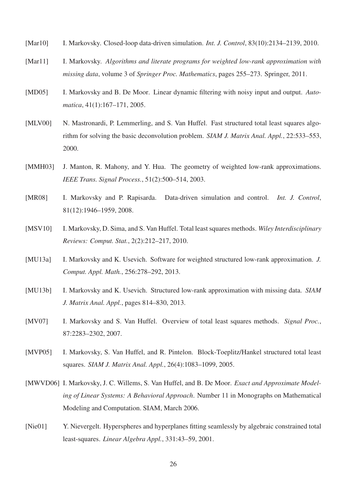- [Mar10] I. Markovsky. Closed-loop data-driven simulation. *Int. J. Control*, 83(10):2134–2139, 2010.
- [Mar11] I. Markovsky. *Algorithms and literate programs for weighted low-rank approximation with missing data*, volume 3 of *Springer Proc. Mathematics*, pages 255–273. Springer, 2011.
- [MD05] I. Markovsky and B. De Moor. Linear dynamic filtering with noisy input and output. Auto*matica*, 41(1):167–171, 2005.
- [MLV00] N. Mastronardi, P. Lemmerling, and S. Van Huffel. Fast structured total least squares algorithm for solving the basic deconvolution problem. *SIAM J. Matrix Anal. Appl.*, 22:533–553, 2000.
- [MMH03] J. Manton, R. Mahony, and Y. Hua. The geometry of weighted low-rank approximations. *IEEE Trans. Signal Process.*, 51(2):500–514, 2003.
- [MR08] I. Markovsky and P. Rapisarda. Data-driven simulation and control. *Int. J. Control*, 81(12):1946–1959, 2008.
- [MSV10] I. Markovsky, D. Sima, and S. Van Huffel. Total least squares methods. *Wiley Interdisciplinary Reviews: Comput. Stat.*, 2(2):212–217, 2010.
- [MU13a] I. Markovsky and K. Usevich. Software for weighted structured low-rank approximation. *J. Comput. Appl. Math.*, 256:278–292, 2013.
- [MU13b] I. Markovsky and K. Usevich. Structured low-rank approximation with missing data. *SIAM J. Matrix Anal. Appl.*, pages 814–830, 2013.
- [MV07] I. Markovsky and S. Van Huffel. Overview of total least squares methods. *Signal Proc.*, 87:2283–2302, 2007.
- [MVP05] I. Markovsky, S. Van Huffel, and R. Pintelon. Block-Toeplitz/Hankel structured total least squares. *SIAM J. Matrix Anal. Appl.*, 26(4):1083–1099, 2005.
- [MWVD06] I. Markovsky, J. C. Willems, S. Van Huffel, and B. De Moor. *Exact and Approximate Modeling of Linear Systems: A Behavioral Approach*. Number 11 in Monographs on Mathematical Modeling and Computation. SIAM, March 2006.
- [Nie01] Y. Nievergelt. Hyperspheres and hyperplanes fitting seamlessly by algebraic constrained total least-squares. *Linear Algebra Appl.*, 331:43–59, 2001.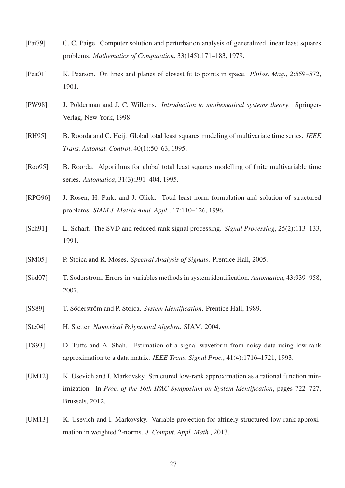- [Pai79] C. C. Paige. Computer solution and perturbation analysis of generalized linear least squares problems. *Mathematics of Computation*, 33(145):171–183, 1979.
- [Pea01] K. Pearson. On lines and planes of closest fit to points in space. *Philos. Mag.*, 2:559–572, 1901.
- [PW98] J. Polderman and J. C. Willems. *Introduction to mathematical systems theory*. Springer-Verlag, New York, 1998.
- [RH95] B. Roorda and C. Heij. Global total least squares modeling of multivariate time series. *IEEE Trans. Automat. Control*, 40(1):50–63, 1995.
- [Roo95] B. Roorda. Algorithms for global total least squares modelling of finite multivariable time series. *Automatica*, 31(3):391–404, 1995.
- [RPG96] J. Rosen, H. Park, and J. Glick. Total least norm formulation and solution of structured problems. *SIAM J. Matrix Anal. Appl.*, 17:110–126, 1996.
- [Sch91] L. Scharf. The SVD and reduced rank signal processing. *Signal Processing*, 25(2):113–133, 1991.
- [SM05] P. Stoica and R. Moses. *Spectral Analysis of Signals*. Prentice Hall, 2005.
- [Söd07] T. Söderström. Errors-in-variables methods in system identification. *Automatica*, 43:939–958, 2007.
- [SS89] T. Söderström and P. Stoica. *System Identification*. Prentice Hall, 1989.
- [Ste04] H. Stetter. *Numerical Polynomial Algebra*. SIAM, 2004.
- [TS93] D. Tufts and A. Shah. Estimation of a signal waveform from noisy data using low-rank approximation to a data matrix. *IEEE Trans. Signal Proc.*, 41(4):1716–1721, 1993.
- [UM12] K. Usevich and I. Markovsky. Structured low-rank approximation as a rational function minimization. In *Proc. of the 16th IFAC Symposium on System Identification*, pages 722–727, Brussels, 2012.
- [UM13] K. Usevich and I. Markovsky. Variable projection for affinely structured low-rank approximation in weighted 2-norms. *J. Comput. Appl. Math.*, 2013.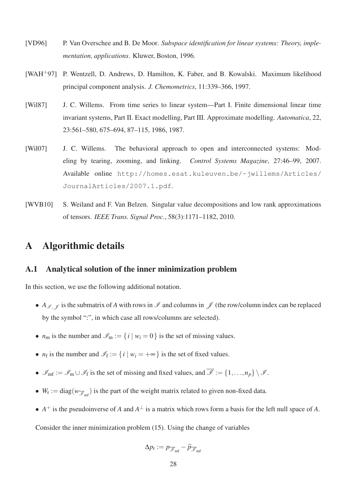- [VD96] P. Van Overschee and B. De Moor. *Subspace identification for linear systems: Theory, implementation, applications*. Kluwer, Boston, 1996.
- [WAH+97] P. Wentzell, D. Andrews, D. Hamilton, K. Faber, and B. Kowalski. Maximum likelihood principal component analysis. *J. Chemometrics*, 11:339–366, 1997.
- [Wil87] J. C. Willems. From time series to linear system—Part I. Finite dimensional linear time invariant systems, Part II. Exact modelling, Part III. Approximate modelling. *Automatica*, 22, 23:561–580, 675–694, 87–115, 1986, 1987.
- [Wil07] J. C. Willems. The behavioral approach to open and interconnected systems: Modeling by tearing, zooming, and linking. *Control Systems Magazine*, 27:46–99, 2007. Available online http://homes.esat.kuleuven.be/~jwillems/Articles/ JournalArticles/2007.1.pdf.
- [WVB10] S. Weiland and F. Van Belzen. Singular value decompositions and low rank approximations of tensors. *IEEE Trans. Signal Proc.*, 58(3):1171–1182, 2010.

### A Algorithmic details

#### A.1 Analytical solution of the inner minimization problem

In this section, we use the following additional notation.

- *A<sub>I</sub>*,  $\ell$  is the submatrix of *A* with rows in *I* and columns in  $\ell$  (the row/column index can be replaced by the symbol ":", in which case all rows/columns are selected).
- $n_m$  is the number and  $\mathcal{I}_m := \{i \mid w_i = 0\}$  is the set of missing values.
- $n_f$  is the number and  $\mathcal{I}_f := \{ i \mid w_i = +\infty \}$  is the set of fixed values.
- $\mathscr{I}_{\text{mf}} := \mathscr{I}_{\text{m}} \cup \mathscr{I}_{f}$  is the set of missing and fixed values, and  $\overline{\mathscr{I}} := \{1, ..., n_{p}\} \setminus \mathscr{I}$ .
- $W_r := diag(w_{\overline{\mathscr{I}}_{\text{mf}}})$  is the part of the weight matrix related to given non-fixed data.
- $A^+$  is the pseudoinverse of *A* and  $A^{\perp}$  is a matrix which rows form a basis for the left null space of *A*.

Consider the inner minimization problem (15). Using the change of variables

$$
\Delta p_{\rm r} := p_{\overline{\mathscr{I}}_{\rm mf}} - \widehat{p}_{\overline{\mathscr{I}}_{\rm mf}}
$$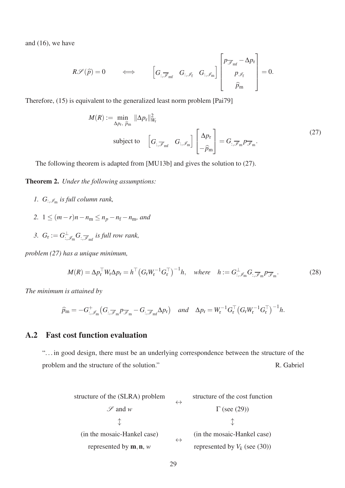and (16), we have

$$
R\mathscr{S}(\widehat{p})=0\qquad\iff\qquad\left[G_{:,\overline{\mathscr{I}}_{\rm mf}}\quad G_{:,\mathscr{I}_{\rm f}}\quad G_{:,\mathscr{I}_{\rm m}}\right]\begin{bmatrix}p_{\overline{\mathscr{I}}_{\rm mf}}-\Delta p_{\rm r}\\[1em]p_{\mathscr{I}_{\rm f}}\\[1em] \widehat{p}_{\rm m}\end{bmatrix}=0.
$$

Therefore, (15) is equivalent to the generalized least norm problem [Pai79]

$$
M(R) := \min_{\Delta p_{\rm r}, \ \hat{p}_{\rm m}} ||\Delta p_{\rm r}||_{W_{\rm r}}^2
$$
  
subject to 
$$
\begin{bmatrix} G_{:,\overline{\mathscr{I}}_{\rm mf}} & G_{:,\mathscr{I}_{\rm m}} \end{bmatrix} \begin{bmatrix} \Delta p_{\rm r} \\ -\hat{p}_{\rm m} \end{bmatrix} = G_{:,\overline{\mathscr{I}}_{\rm m}} p_{\overline{\mathscr{I}}_{\rm m}}.
$$
 (27)

The following theorem is adapted from [MU13b] and gives the solution to (27).

Theorem 2. *Under the following assumptions:*

- 1.  $G_{:,\mathscr{I}_{m}}$  is full column rank,
- *2.*  $1 \leq (m-r)n n_m \leq n_p n_f n_m$ , and
- 3.  $G_{\rm r} := G_{\cdot,\mathscr{I}_{\rm m}}^{\perp} G_{\cdot,\overline{\mathscr{I}}_{\rm m}f}$  *is full row rank*,

*problem (27) has a unique minimum,*

$$
M(R) = \Delta p_{\rm r}^{\top} W_{\rm r} \Delta p_{\rm r} = h^{\top} \left( G_{\rm r} W_{\rm r}^{-1} G_{\rm r}^{\top} \right)^{-1} h, \quad \text{where} \quad h := G_{:, \mathscr{I}_{\rm m}}^{\perp} G_{:, \overline{\mathscr{I}}_{\rm m}} p_{\overline{\mathscr{I}}_{\rm m}}.
$$

*The minimum is attained by*

$$
\widehat{p}_{\mathfrak{m}} = -G_{:, \mathscr{I}_{\mathfrak{m}}}^{+} \big( G_{:,\overline{\mathscr{I}}_{\mathfrak{m}}} p_{\overline{\mathscr{I}}_{\mathfrak{m}}} - G_{:,\overline{\mathscr{I}}_{\mathfrak{m}f}} \Delta p_{r} \big) \quad \text{and} \quad \Delta p_{r} = W_{r}^{-1} G_{r}^{\top} \big( G_{r} W_{r}^{-1} G_{r}^{\top} \big)^{-1} h.
$$

### A.2 Fast cost function evaluation

". . . in good design, there must be an underlying correspondence between the structure of the problem and the structure of the solution." R. Gabriel

structure of the (SLRA) problem

\n⇒

\n
$$
\begin{array}{ccc}\n\downarrow & \downarrow & \downarrow \\
\downarrow & \downarrow & \downarrow \\
\downarrow & \downarrow & \downarrow\n\end{array}
$$
\n(in the mosaic-Hankel case)

\nrepresented by **m, n, w**

\n⇒

\n(in the mosaic-Hankel case) represented by  $V_k$  (see (30))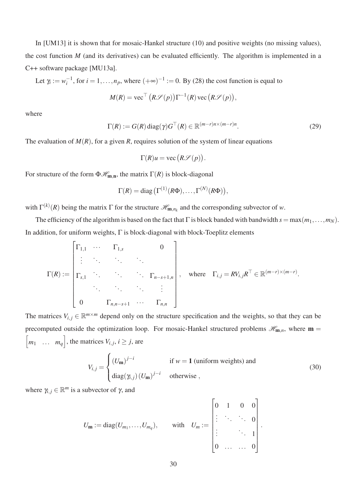In [UM13] it is shown that for mosaic-Hankel structure (10) and positive weights (no missing values), the cost function *M* (and its derivatives) can be evaluated efficiently. The algorithm is implemented in a C++ software package [MU13a].

Let 
$$
\gamma_i := w_i^{-1}
$$
, for  $i = 1, ..., n_p$ , where  $(+\infty)^{-1} := 0$ . By (28) the cost function is equal to

$$
M(R) = \text{vec}^\top (R\mathcal{S}(p)) \Gamma^{-1}(R) \text{ vec}(R\mathcal{S}(p)),
$$

where

$$
\Gamma(R) := G(R) \operatorname{diag}(\gamma) G^{\top}(R) \in \mathbb{R}^{(m-r)n \times (m-r)n}.
$$
 (29)

The evaluation of  $M(R)$ , for a given *R*, requires solution of the system of linear equations

$$
\Gamma(R)u = \text{vec}\left(R\mathscr{S}(p)\right).
$$

For structure of the form  $\Phi\mathcal{H}_{m,n}$ , the matrix  $\Gamma(R)$  is block-diagonal

$$
\Gamma(R) = \text{diag}\left(\Gamma^{(1)}(R\Phi), \ldots, \Gamma^{(N)}(R\Phi)\right),
$$

with  $\Gamma^{(k)}(R)$  being the matrix  $\Gamma$  for the structure  $\mathcal{H}_{m,n_k}$  and the corresponding subvector of *w*.

The efficiency of the algorithm is based on the fact that  $\Gamma$  is block banded with bandwidth  $s = max(m_1, \ldots, m_N)$ . In addition, for uniform weights, Γ is block-diagonal with block-Toeplitz elements

$$
\Gamma(R) := \begin{bmatrix}\n\Gamma_{1,1} & \cdots & \Gamma_{1,s} & & 0 \\
\vdots & \ddots & \ddots & \ddots & \vdots \\
\Gamma_{s,1} & \cdots & \cdots & \Gamma_{n-s+1,n} \\
\vdots & \ddots & \ddots & \vdots \\
0 & \Gamma_{n,n-s+1} & \cdots & \Gamma_{n,n}\n\end{bmatrix}, \text{ where } \Gamma_{i,j} = RV_{i,j}R^{T} \in \mathbb{R}^{(m-r)\times(m-r)}.
$$

The matrices  $V_{i,j} \in \mathbb{R}^{m \times m}$  depend only on the structure specification and the weights, so that they can be precomputed outside the optimization loop. For mosaic-Hankel structured problems  $\mathscr{H}_{m,n}$ , where  $m =$  $\sqrt{ }$ *m*<sup>1</sup> ... *m<sup>q</sup>* , the matrices  $V_{i,j}$ ,  $i \geq j$ , are

$$
V_{i,j} = \begin{cases} (U_{\mathbf{m}})^{j-i} & \text{if } w = 1 \text{ (uniform weights) and} \\ \text{diag}(\gamma_{i,j}) (U_{\mathbf{m}})^{j-i} & \text{otherwise} \end{cases}
$$
(30)

where  $\gamma_{i,j} \in \mathbb{R}^m$  is a subvector of  $\gamma$ , and

$$
U_{\mathbf{m}} := \mathrm{diag}(U_{m_1}, \ldots, U_{m_q}), \quad \text{with} \quad U_m := \begin{bmatrix} 0 & 1 & 0 & 0 \\ \vdots & \ddots & \ddots & 0 \\ \vdots & & \ddots & 1 \\ 0 & \ldots & \ldots & 0 \end{bmatrix}.
$$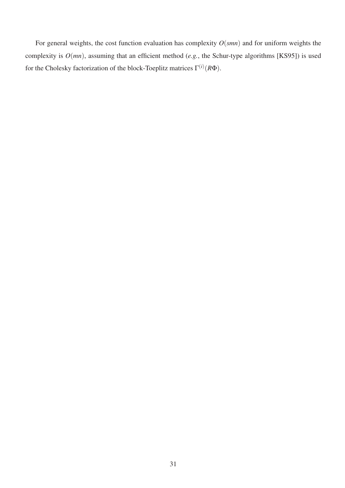For general weights, the cost function evaluation has complexity  $O(smn)$  and for uniform weights the complexity is *O*(*mn*), assuming that an efficient method (*e.g.*, the Schur-type algorithms [KS95]) is used for the Cholesky factorization of the block-Toeplitz matrices Γ (*i*) (*R*Φ).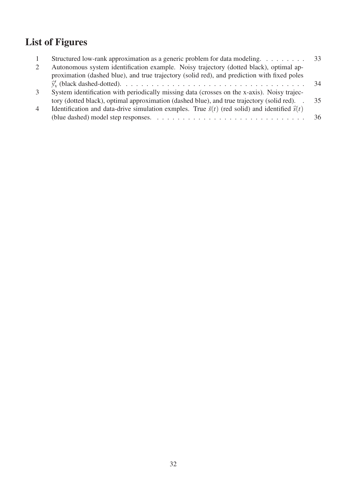## List of Figures

|                | Structured low-rank approximation as a generic problem for data modeling. 33                                |    |
|----------------|-------------------------------------------------------------------------------------------------------------|----|
|                | Autonomous system identification example. Noisy trajectory (dotted black), optimal ap-                      |    |
|                | proximation (dashed blue), and true trajectory (solid red), and prediction with fixed poles                 |    |
|                |                                                                                                             | 34 |
| 3              | System identification with periodically missing data (crosses on the x-axis). Noisy trajec-                 |    |
|                | tory (dotted black), optimal approximation (dashed blue), and true trajectory (solid red). .                | 35 |
| $\overline{4}$ | Identification and data-drive simulation exmples. True $\bar{s}(t)$ (red solid) and identified $\hat{s}(t)$ |    |
|                |                                                                                                             |    |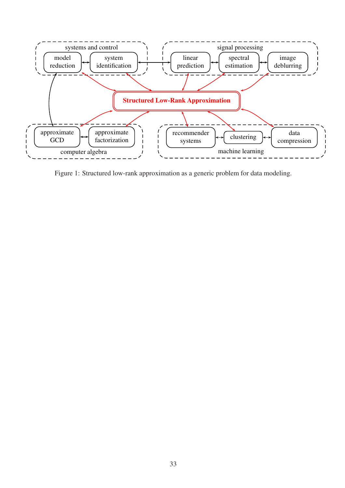

Figure 1: Structured low-rank approximation as a generic problem for data modeling.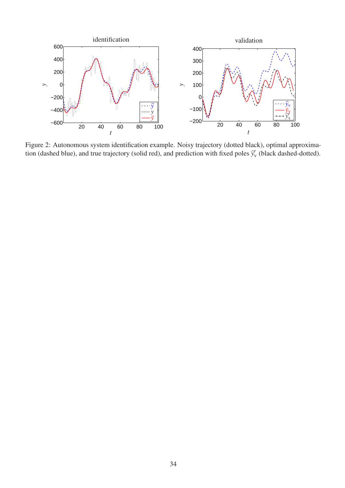

Figure 2: Autonomous system identification example. Noisy trajectory (dotted black), optimal approximation (dashed blue), and true trajectory (solid red), and prediction with fixed poles  $\hat{y}'_v$  (black dashed-dotted).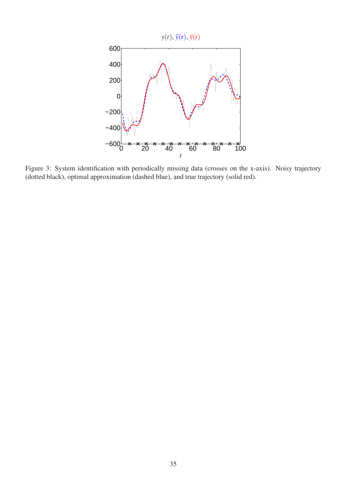

Figure 3: System identification with periodically missing data (crosses on the x-axis). Noisy trajectory (dotted black), optimal approximation (dashed blue), and true trajectory (solid red).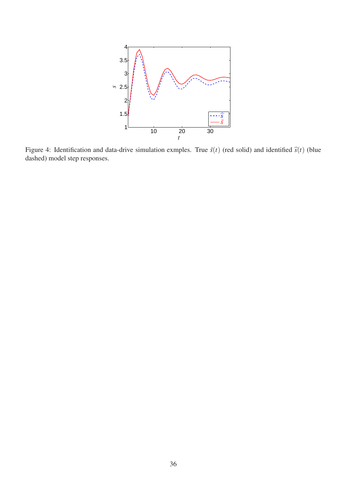

Figure 4: Identification and data-drive simulation exmples. True  $\bar{s}(t)$  (red solid) and identified  $\hat{s}(t)$  (blue dashed) model step responses.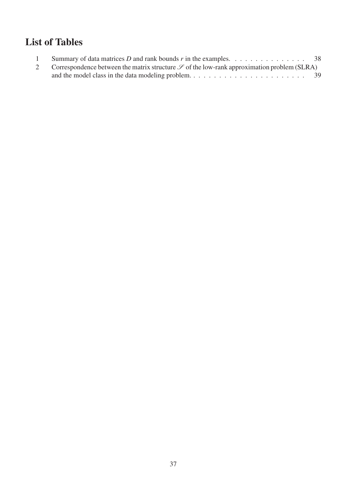## List of Tables

| Summary of data matrices D and rank bounds r in the examples. $\ldots \ldots \ldots \ldots \ldots$ 38 |  |
|-------------------------------------------------------------------------------------------------------|--|
| Correspondence between the matrix structure $\mathscr S$ of the low-rank approximation problem (SLRA) |  |
|                                                                                                       |  |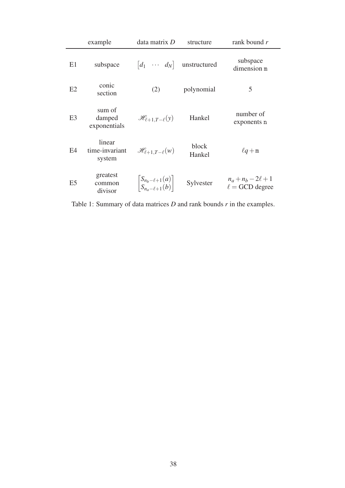|                | example                            | data matrix D                                              | structure       | rank bound $r$                                 |
|----------------|------------------------------------|------------------------------------------------------------|-----------------|------------------------------------------------|
| E1             | subspace                           | $\begin{bmatrix} d_1 & \cdots & d_N \end{bmatrix}$         | unstructured    | subspace<br>dimension m                        |
| E2             | conic<br>section                   | (2)                                                        | polynomial      | 5                                              |
| E <sub>3</sub> | sum of<br>damped<br>exponentials   | $\mathscr{H}_{\ell+1,T-\ell}(y)$                           | Hankel          | number of<br>exponents n                       |
| E4             | linear<br>time-invariant<br>system | $\mathscr{H}_{\ell+1,T-\ell}(w)$                           | block<br>Hankel | $\ell q+m$                                     |
| E5             | greatest<br>common<br>divisor      | $\left \frac{S_{n_b-\ell+1}(a)}{S_{n_b-\ell+1}(b)}\right $ | Sylvester       | $n_a + n_b - 2\ell + 1$<br>$\ell =$ GCD degree |

Table 1: Summary of data matrices *D* and rank bounds *r* in the examples.